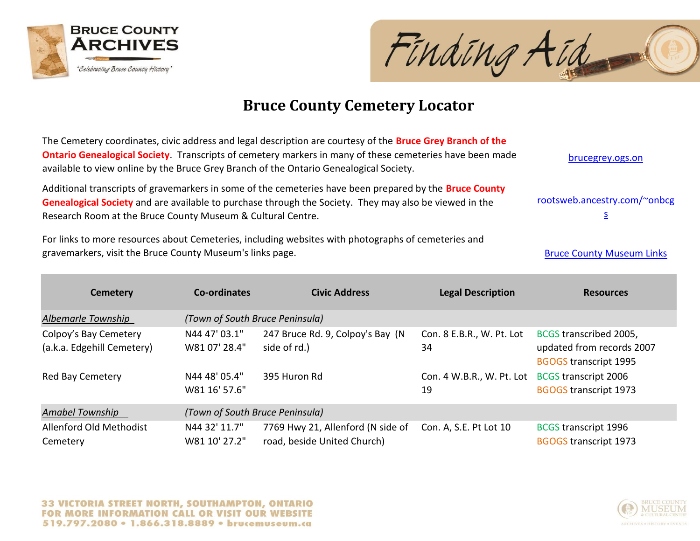



| The Cemetery coordinates, civic address and legal description are courtesy of the <b>Bruce Grey Branch of the</b><br>Ontario Genealogical Society. Transcripts of cemetery markers in many of these cemeteries have been made<br>available to view online by the Bruce Grey Branch of the Ontario Genealogical Society. | brucegrey.ogs.on                                        |                                                                  |                                                      |                                                                                     |
|-------------------------------------------------------------------------------------------------------------------------------------------------------------------------------------------------------------------------------------------------------------------------------------------------------------------------|---------------------------------------------------------|------------------------------------------------------------------|------------------------------------------------------|-------------------------------------------------------------------------------------|
| Additional transcripts of gravemarkers in some of the cemeteries have been prepared by the Bruce County<br>Genealogical Society and are available to purchase through the Society. They may also be viewed in the<br>Research Room at the Bruce County Museum & Cultural Centre.                                        | rootsweb.ancestry.com/~onbcg<br>$\overline{\mathsf{S}}$ |                                                                  |                                                      |                                                                                     |
| For links to more resources about Cemeteries, including websites with photographs of cemeteries and<br>gravemarkers, visit the Bruce County Museum's links page.                                                                                                                                                        | <b>Bruce County Museum Links</b>                        |                                                                  |                                                      |                                                                                     |
| <b>Cemetery</b>                                                                                                                                                                                                                                                                                                         | Co-ordinates                                            | <b>Civic Address</b>                                             | <b>Legal Description</b>                             | <b>Resources</b>                                                                    |
| Albemarle Township                                                                                                                                                                                                                                                                                                      | (Town of South Bruce Peninsula)                         |                                                                  |                                                      |                                                                                     |
| Colpoy's Bay Cemetery<br>(a.k.a. Edgehill Cemetery)                                                                                                                                                                                                                                                                     | N44 47' 03.1"<br>W81 07' 28.4"                          | 247 Bruce Rd. 9, Colpoy's Bay (N<br>side of rd.)                 | Con. 8 E.B.R., W. Pt. Lot<br>34                      | BCGS transcribed 2005,<br>updated from records 2007<br><b>BGOGS transcript 1995</b> |
| Red Bay Cemetery                                                                                                                                                                                                                                                                                                        | N44 48' 05.4"<br>W81 16' 57.6"                          | 395 Huron Rd                                                     | Con. 4 W.B.R., W. Pt. Lot BCGS transcript 2006<br>19 | <b>BGOGS transcript 1973</b>                                                        |
| <b>Amabel Township</b>                                                                                                                                                                                                                                                                                                  | (Town of South Bruce Peninsula)                         |                                                                  |                                                      |                                                                                     |
| Allenford Old Methodist<br>Cemetery                                                                                                                                                                                                                                                                                     | N44 32' 11.7"<br>W81 10' 27.2"                          | 7769 Hwy 21, Allenford (N side of<br>road, beside United Church) | Con. A, S.E. Pt Lot 10                               | <b>BCGS transcript 1996</b><br><b>BGOGS transcript 1973</b>                         |

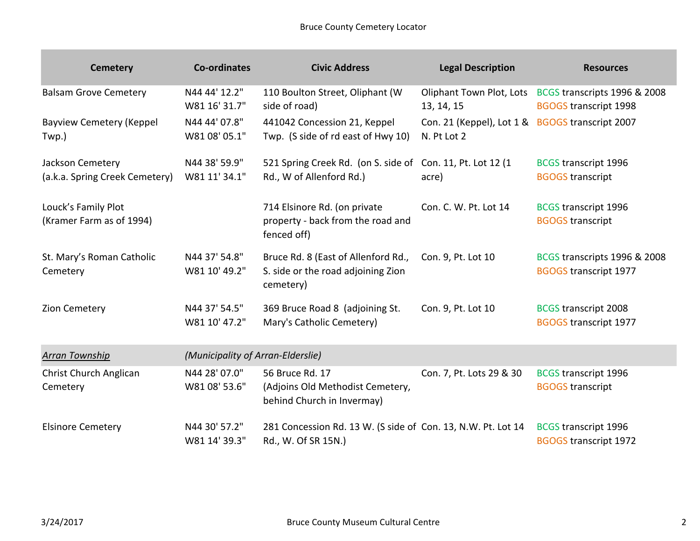| <b>Cemetery</b>                                    | <b>Co-ordinates</b>               | <b>Civic Address</b>                                                                   | <b>Legal Description</b>                                       | <b>Resources</b>                                                                      |
|----------------------------------------------------|-----------------------------------|----------------------------------------------------------------------------------------|----------------------------------------------------------------|---------------------------------------------------------------------------------------|
| <b>Balsam Grove Cemetery</b>                       | N44 44' 12.2"<br>W81 16' 31.7"    | 110 Boulton Street, Oliphant (W<br>side of road)                                       | 13, 14, 15                                                     | Oliphant Town Plot, Lots BCGS transcripts 1996 & 2008<br><b>BGOGS transcript 1998</b> |
| <b>Bayview Cemetery (Keppel</b><br>Twp.)           | N44 44' 07.8"<br>W81 08' 05.1"    | 441042 Concession 21, Keppel<br>Twp. (S side of rd east of Hwy 10)                     | Con. 21 (Keppel), Lot 1 & BGOGS transcript 2007<br>N. Pt Lot 2 |                                                                                       |
| Jackson Cemetery<br>(a.k.a. Spring Creek Cemetery) | N44 38' 59.9"<br>W81 11' 34.1"    | 521 Spring Creek Rd. (on S. side of Con. 11, Pt. Lot 12 (1<br>Rd., W of Allenford Rd.) | acre)                                                          | <b>BCGS transcript 1996</b><br><b>BGOGS transcript</b>                                |
| Louck's Family Plot<br>(Kramer Farm as of 1994)    |                                   | 714 Elsinore Rd. (on private<br>property - back from the road and<br>fenced off)       | Con. C. W. Pt. Lot 14                                          | <b>BCGS transcript 1996</b><br><b>BGOGS transcript</b>                                |
| St. Mary's Roman Catholic<br>Cemetery              | N44 37' 54.8"<br>W81 10' 49.2"    | Bruce Rd. 8 (East of Allenford Rd.,<br>S. side or the road adjoining Zion<br>cemetery) | Con. 9, Pt. Lot 10                                             | BCGS transcripts 1996 & 2008<br><b>BGOGS transcript 1977</b>                          |
| Zion Cemetery                                      | N44 37' 54.5"<br>W81 10' 47.2"    | 369 Bruce Road 8 (adjoining St.<br>Mary's Catholic Cemetery)                           | Con. 9, Pt. Lot 10                                             | <b>BCGS transcript 2008</b><br><b>BGOGS transcript 1977</b>                           |
| <b>Arran Township</b>                              | (Municipality of Arran-Elderslie) |                                                                                        |                                                                |                                                                                       |
| Christ Church Anglican<br>Cemetery                 | N44 28' 07.0"<br>W81 08' 53.6"    | 56 Bruce Rd. 17<br>(Adjoins Old Methodist Cemetery,<br>behind Church in Invermay)      | Con. 7, Pt. Lots 29 & 30                                       | <b>BCGS transcript 1996</b><br><b>BGOGS</b> transcript                                |
| <b>Elsinore Cemetery</b>                           | N44 30' 57.2"<br>W81 14' 39.3"    | 281 Concession Rd. 13 W. (S side of Con. 13, N.W. Pt. Lot 14<br>Rd., W. Of SR 15N.)    |                                                                | <b>BCGS transcript 1996</b><br><b>BGOGS transcript 1972</b>                           |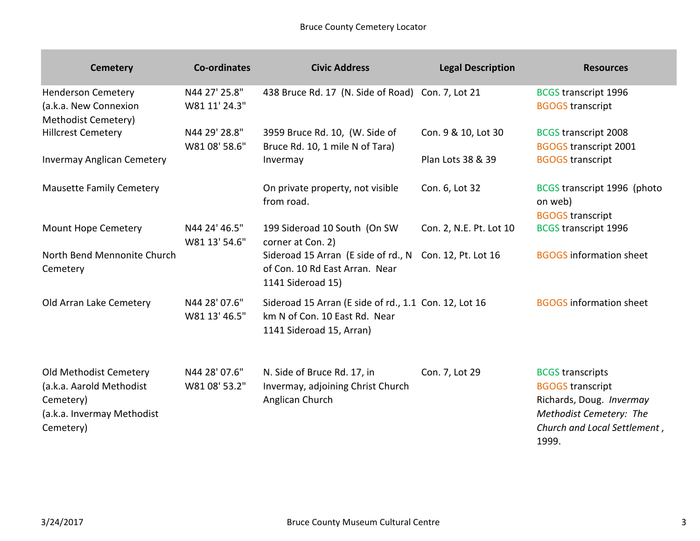| <b>Cemetery</b>                                                                                            | Co-ordinates                   | <b>Civic Address</b>                                                                                               | <b>Legal Description</b> | <b>Resources</b>                                                                                                                                   |
|------------------------------------------------------------------------------------------------------------|--------------------------------|--------------------------------------------------------------------------------------------------------------------|--------------------------|----------------------------------------------------------------------------------------------------------------------------------------------------|
| <b>Henderson Cemetery</b><br>(a.k.a. New Connexion<br><b>Methodist Cemetery)</b>                           | N44 27' 25.8"<br>W81 11' 24.3" | 438 Bruce Rd. 17 (N. Side of Road) Con. 7, Lot 21                                                                  |                          | <b>BCGS transcript 1996</b><br><b>BGOGS transcript</b>                                                                                             |
| <b>Hillcrest Cemetery</b>                                                                                  | N44 29' 28.8"<br>W81 08' 58.6" | 3959 Bruce Rd. 10, (W. Side of<br>Bruce Rd. 10, 1 mile N of Tara)                                                  | Con. 9 & 10, Lot 30      | <b>BCGS transcript 2008</b><br><b>BGOGS transcript 2001</b>                                                                                        |
| <b>Invermay Anglican Cemetery</b>                                                                          |                                | Invermay                                                                                                           | Plan Lots 38 & 39        | <b>BGOGS transcript</b>                                                                                                                            |
| <b>Mausette Family Cemetery</b>                                                                            |                                | On private property, not visible<br>from road.                                                                     | Con. 6, Lot 32           | BCGS transcript 1996 (photo<br>on web)<br><b>BGOGS transcript</b>                                                                                  |
| <b>Mount Hope Cemetery</b>                                                                                 | N44 24' 46.5"<br>W81 13' 54.6" | 199 Sideroad 10 South (On SW<br>corner at Con. 2)                                                                  | Con. 2, N.E. Pt. Lot 10  | <b>BCGS transcript 1996</b>                                                                                                                        |
| North Bend Mennonite Church<br>Cemetery                                                                    |                                | Sideroad 15 Arran (E side of rd., N Con. 12, Pt. Lot 16<br>of Con. 10 Rd East Arran. Near<br>1141 Sideroad 15)     |                          | <b>BGOGS</b> information sheet                                                                                                                     |
| Old Arran Lake Cemetery                                                                                    | N44 28' 07.6"<br>W81 13' 46.5" | Sideroad 15 Arran (E side of rd., 1.1 Con. 12, Lot 16<br>km N of Con. 10 East Rd. Near<br>1141 Sideroad 15, Arran) |                          | <b>BGOGS</b> information sheet                                                                                                                     |
| Old Methodist Cemetery<br>(a.k.a. Aarold Methodist<br>Cemetery)<br>(a.k.a. Invermay Methodist<br>Cemetery) | N44 28' 07.6"<br>W81 08' 53.2" | N. Side of Bruce Rd. 17, in<br>Invermay, adjoining Christ Church<br>Anglican Church                                | Con. 7, Lot 29           | <b>BCGS</b> transcripts<br><b>BGOGS transcript</b><br>Richards, Doug. Invermay<br>Methodist Cemetery: The<br>Church and Local Settlement,<br>1999. |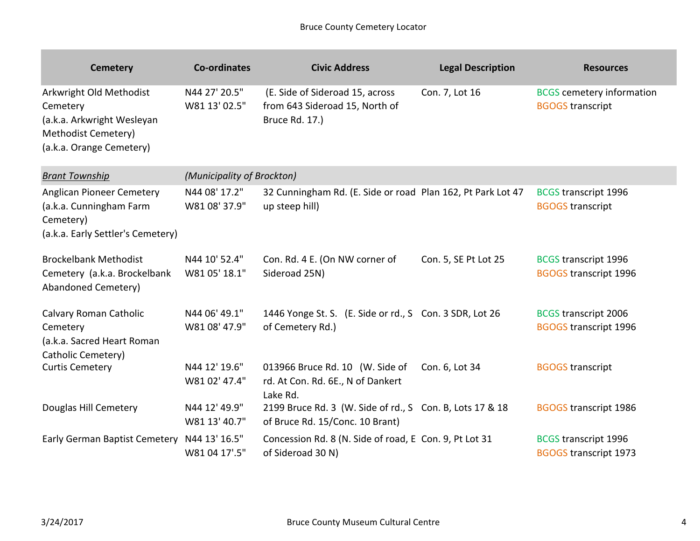| <b>Cemetery</b>                                                                                                      | Co-ordinates                   | <b>Civic Address</b>                                                                        | <b>Legal Description</b> | <b>Resources</b>                                            |
|----------------------------------------------------------------------------------------------------------------------|--------------------------------|---------------------------------------------------------------------------------------------|--------------------------|-------------------------------------------------------------|
| Arkwright Old Methodist<br>Cemetery<br>(a.k.a. Arkwright Wesleyan<br>Methodist Cemetery)<br>(a.k.a. Orange Cemetery) | N44 27' 20.5"<br>W81 13' 02.5" | (E. Side of Sideroad 15, across<br>from 643 Sideroad 15, North of<br>Bruce Rd. 17.)         | Con. 7, Lot 16           | <b>BCGS</b> cemetery information<br><b>BGOGS transcript</b> |
| <b>Brant Township</b>                                                                                                | (Municipality of Brockton)     |                                                                                             |                          |                                                             |
| Anglican Pioneer Cemetery<br>(a.k.a. Cunningham Farm<br>Cemetery)<br>(a.k.a. Early Settler's Cemetery)               | N44 08' 17.2"<br>W81 08' 37.9" | 32 Cunningham Rd. (E. Side or road Plan 162, Pt Park Lot 47<br>up steep hill)               |                          | <b>BCGS transcript 1996</b><br><b>BGOGS transcript</b>      |
| <b>Brockelbank Methodist</b><br>Cemetery (a.k.a. Brockelbank<br>Abandoned Cemetery)                                  | N44 10' 52.4"<br>W81 05' 18.1" | Con. Rd. 4 E. (On NW corner of<br>Sideroad 25N)                                             | Con. 5, SE Pt Lot 25     | <b>BCGS transcript 1996</b><br><b>BGOGS transcript 1996</b> |
| Calvary Roman Catholic<br>Cemetery<br>(a.k.a. Sacred Heart Roman<br>Catholic Cemetery)                               | N44 06' 49.1"<br>W81 08' 47.9" | 1446 Yonge St. S. (E. Side or rd., S Con. 3 SDR, Lot 26<br>of Cemetery Rd.)                 |                          | <b>BCGS transcript 2006</b><br><b>BGOGS transcript 1996</b> |
| <b>Curtis Cemetery</b>                                                                                               | N44 12' 19.6"<br>W81 02' 47.4" | 013966 Bruce Rd. 10 (W. Side of<br>rd. At Con. Rd. 6E., N of Dankert<br>Lake Rd.            | Con. 6, Lot 34           | <b>BGOGS transcript</b>                                     |
| Douglas Hill Cemetery                                                                                                | N44 12' 49.9"<br>W81 13' 40.7" | 2199 Bruce Rd. 3 (W. Side of rd., S Con. B, Lots 17 & 18<br>of Bruce Rd. 15/Conc. 10 Brant) |                          | <b>BGOGS transcript 1986</b>                                |
| Early German Baptist Cemetery N44 13' 16.5"                                                                          | W81 04 17'.5"                  | Concession Rd. 8 (N. Side of road, E Con. 9, Pt Lot 31<br>of Sideroad 30 N)                 |                          | <b>BCGS transcript 1996</b><br><b>BGOGS transcript 1973</b> |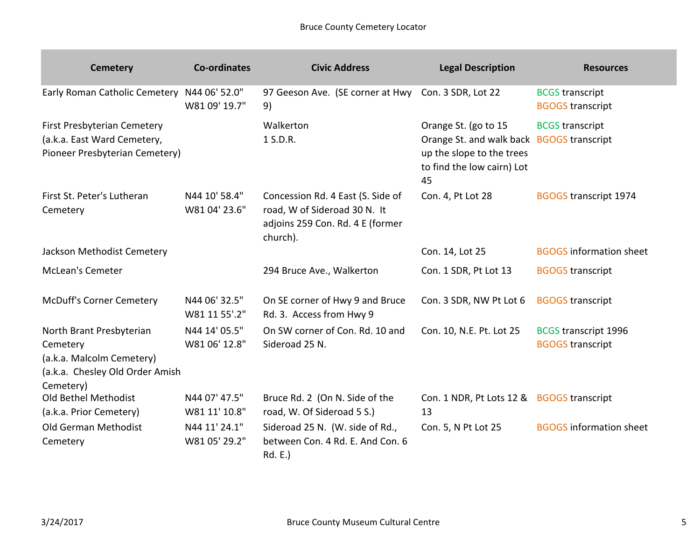| <b>Cemetery</b>                                                                                                   | <b>Co-ordinates</b>            | <b>Civic Address</b>                                                                                              | <b>Legal Description</b>                                                                                                           | <b>Resources</b>                                       |
|-------------------------------------------------------------------------------------------------------------------|--------------------------------|-------------------------------------------------------------------------------------------------------------------|------------------------------------------------------------------------------------------------------------------------------------|--------------------------------------------------------|
| Early Roman Catholic Cemetery N44 06' 52.0"                                                                       | W81 09' 19.7"                  | 97 Geeson Ave. (SE corner at Hwy Con. 3 SDR, Lot 22<br>9)                                                         |                                                                                                                                    | <b>BCGS</b> transcript<br><b>BGOGS transcript</b>      |
| First Presbyterian Cemetery<br>(a.k.a. East Ward Cemetery,<br>Pioneer Presbyterian Cemetery)                      |                                | Walkerton<br>1 S.D.R.                                                                                             | Orange St. (go to 15<br>Orange St. and walk back BGOGS transcript<br>up the slope to the trees<br>to find the low cairn) Lot<br>45 | <b>BCGS</b> transcript                                 |
| First St. Peter's Lutheran<br>Cemetery                                                                            | N44 10' 58.4"<br>W81 04' 23.6" | Concession Rd. 4 East (S. Side of<br>road, W of Sideroad 30 N. It<br>adjoins 259 Con. Rd. 4 E (former<br>church). | Con. 4, Pt Lot 28                                                                                                                  | <b>BGOGS transcript 1974</b>                           |
| Jackson Methodist Cemetery                                                                                        |                                |                                                                                                                   | Con. 14, Lot 25                                                                                                                    | <b>BGOGS</b> information sheet                         |
| <b>McLean's Cemeter</b>                                                                                           |                                | 294 Bruce Ave., Walkerton                                                                                         | Con. 1 SDR, Pt Lot 13                                                                                                              | <b>BGOGS transcript</b>                                |
| <b>McDuff's Corner Cemetery</b>                                                                                   | N44 06' 32.5"<br>W81 11 55'.2" | On SE corner of Hwy 9 and Bruce<br>Rd. 3. Access from Hwy 9                                                       | Con. 3 SDR, NW Pt Lot 6                                                                                                            | <b>BGOGS</b> transcript                                |
| North Brant Presbyterian<br>Cemetery<br>(a.k.a. Malcolm Cemetery)<br>(a.k.a. Chesley Old Order Amish<br>Cemetery) | N44 14' 05.5"<br>W81 06' 12.8" | On SW corner of Con. Rd. 10 and<br>Sideroad 25 N.                                                                 | Con. 10, N.E. Pt. Lot 25                                                                                                           | <b>BCGS transcript 1996</b><br><b>BGOGS transcript</b> |
| Old Bethel Methodist<br>(a.k.a. Prior Cemetery)                                                                   | N44 07' 47.5"<br>W81 11' 10.8" | Bruce Rd. 2 (On N. Side of the<br>road, W. Of Sideroad 5 S.)                                                      | Con. 1 NDR, Pt Lots 12 & BGOGS transcript<br>13                                                                                    |                                                        |
| Old German Methodist<br>Cemetery                                                                                  | N44 11' 24.1"<br>W81 05' 29.2" | Sideroad 25 N. (W. side of Rd.,<br>between Con. 4 Rd. E. And Con. 6<br>Rd. E.)                                    | Con. 5, N Pt Lot 25                                                                                                                | <b>BGOGS</b> information sheet                         |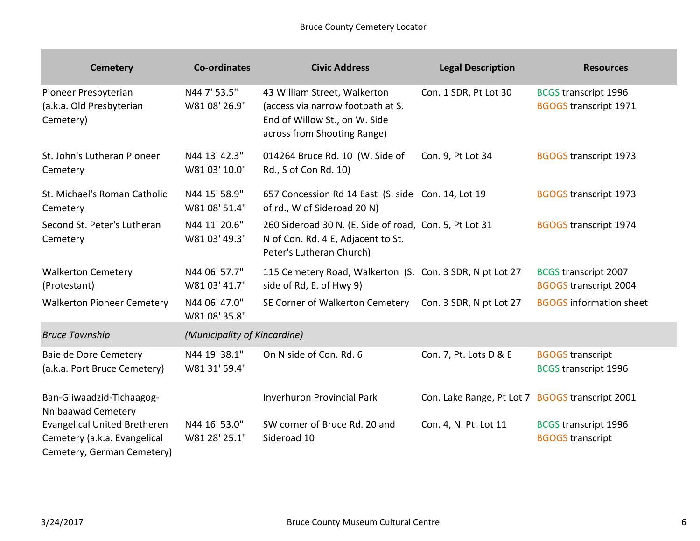| <b>Cemetery</b>                                                                                   | <b>Co-ordinates</b>            | <b>Civic Address</b>                                                                                                              | <b>Legal Description</b>                        | <b>Resources</b>                                            |
|---------------------------------------------------------------------------------------------------|--------------------------------|-----------------------------------------------------------------------------------------------------------------------------------|-------------------------------------------------|-------------------------------------------------------------|
| Pioneer Presbyterian<br>(a.k.a. Old Presbyterian<br>Cemetery)                                     | N44 7' 53.5"<br>W81 08' 26.9"  | 43 William Street, Walkerton<br>(access via narrow footpath at S.<br>End of Willow St., on W. Side<br>across from Shooting Range) | Con. 1 SDR, Pt Lot 30                           | <b>BCGS transcript 1996</b><br><b>BGOGS transcript 1971</b> |
| St. John's Lutheran Pioneer<br>Cemetery                                                           | N44 13' 42.3"<br>W81 03' 10.0" | 014264 Bruce Rd. 10 (W. Side of<br>Rd., S of Con Rd. 10)                                                                          | Con. 9, Pt Lot 34                               | <b>BGOGS transcript 1973</b>                                |
| St. Michael's Roman Catholic<br>Cemetery                                                          | N44 15' 58.9"<br>W81 08' 51.4" | 657 Concession Rd 14 East (S. side Con. 14, Lot 19<br>of rd., W of Sideroad 20 N)                                                 |                                                 | <b>BGOGS transcript 1973</b>                                |
| Second St. Peter's Lutheran<br>Cemetery                                                           | N44 11' 20.6"<br>W81 03' 49.3" | 260 Sideroad 30 N. (E. Side of road, Con. 5, Pt Lot 31<br>N of Con. Rd. 4 E, Adjacent to St.<br>Peter's Lutheran Church)          |                                                 | <b>BGOGS transcript 1974</b>                                |
| <b>Walkerton Cemetery</b><br>(Protestant)                                                         | N44 06' 57.7"<br>W81 03' 41.7" | 115 Cemetery Road, Walkerton (S. Con. 3 SDR, N pt Lot 27<br>side of Rd, E. of Hwy 9)                                              |                                                 | <b>BCGS transcript 2007</b><br><b>BGOGS transcript 2004</b> |
| <b>Walkerton Pioneer Cemetery</b>                                                                 | N44 06' 47.0"<br>W81 08' 35.8" | SE Corner of Walkerton Cemetery                                                                                                   | Con. 3 SDR, N pt Lot 27                         | <b>BGOGS</b> information sheet                              |
| <b>Bruce Township</b>                                                                             | (Municipality of Kincardine)   |                                                                                                                                   |                                                 |                                                             |
| Baie de Dore Cemetery<br>(a.k.a. Port Bruce Cemetery)                                             | N44 19' 38.1"<br>W81 31' 59.4" | On N side of Con. Rd. 6                                                                                                           | Con. 7, Pt. Lots D & E                          | <b>BGOGS transcript</b><br><b>BCGS transcript 1996</b>      |
| Ban-Giiwaadzid-Tichaagog-<br>Nnibaawad Cemetery                                                   |                                | <b>Inverhuron Provincial Park</b>                                                                                                 | Con. Lake Range, Pt Lot 7 BGOGS transcript 2001 |                                                             |
| <b>Evangelical United Bretheren</b><br>Cemetery (a.k.a. Evangelical<br>Cemetery, German Cemetery) | N44 16' 53.0"<br>W81 28' 25.1" | SW corner of Bruce Rd. 20 and<br>Sideroad 10                                                                                      | Con. 4, N. Pt. Lot 11                           | <b>BCGS transcript 1996</b><br><b>BGOGS transcript</b>      |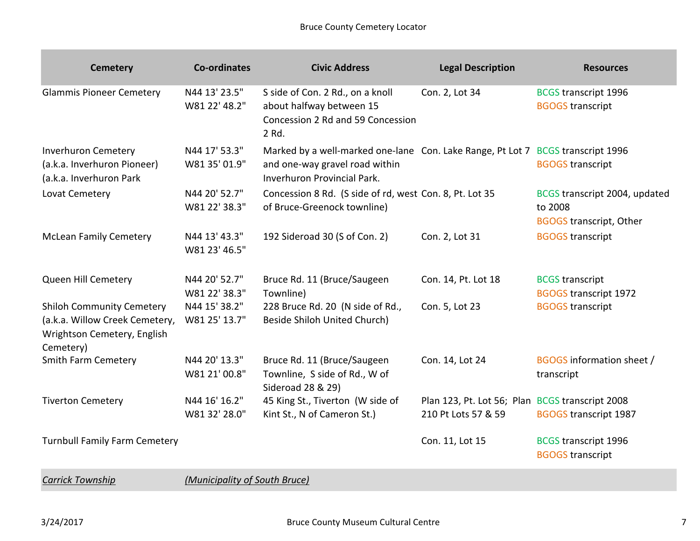| <b>Cemetery</b>                                                                                                | <b>Co-ordinates</b>            | <b>Civic Address</b>                                                                                                                             | <b>Legal Description</b>                                               | <b>Resources</b>                                                           |
|----------------------------------------------------------------------------------------------------------------|--------------------------------|--------------------------------------------------------------------------------------------------------------------------------------------------|------------------------------------------------------------------------|----------------------------------------------------------------------------|
| <b>Glammis Pioneer Cemetery</b>                                                                                | N44 13' 23.5"<br>W81 22' 48.2" | S side of Con. 2 Rd., on a knoll<br>about halfway between 15<br>Concession 2 Rd and 59 Concession<br>2 Rd.                                       | Con. 2, Lot 34                                                         | <b>BCGS transcript 1996</b><br><b>BGOGS transcript</b>                     |
| <b>Inverhuron Cemetery</b><br>(a.k.a. Inverhuron Pioneer)<br>(a.k.a. Inverhuron Park                           | N44 17' 53.3"<br>W81 35' 01.9" | Marked by a well-marked one-lane Con. Lake Range, Pt Lot 7 BCGS transcript 1996<br>and one-way gravel road within<br>Inverhuron Provincial Park. |                                                                        | <b>BGOGS</b> transcript                                                    |
| Lovat Cemetery                                                                                                 | N44 20' 52.7"<br>W81 22' 38.3" | Concession 8 Rd. (S side of rd, west Con. 8, Pt. Lot 35<br>of Bruce-Greenock townline)                                                           |                                                                        | BCGS transcript 2004, updated<br>to 2008<br><b>BGOGS transcript, Other</b> |
| <b>McLean Family Cemetery</b>                                                                                  | N44 13' 43.3"<br>W81 23' 46.5" | 192 Sideroad 30 (S of Con. 2)                                                                                                                    | Con. 2, Lot 31                                                         | <b>BGOGS transcript</b>                                                    |
| Queen Hill Cemetery                                                                                            | N44 20' 52.7"<br>W81 22' 38.3" | Bruce Rd. 11 (Bruce/Saugeen<br>Townline)                                                                                                         | Con. 14, Pt. Lot 18                                                    | <b>BCGS</b> transcript<br><b>BGOGS transcript 1972</b>                     |
| <b>Shiloh Community Cemetery</b><br>(a.k.a. Willow Creek Cemetery,<br>Wrightson Cemetery, English<br>Cemetery) | N44 15' 38.2"<br>W81 25' 13.7" | 228 Bruce Rd. 20 (N side of Rd.,<br>Beside Shiloh United Church)                                                                                 | Con. 5, Lot 23                                                         | <b>BGOGS transcript</b>                                                    |
| Smith Farm Cemetery                                                                                            | N44 20' 13.3"<br>W81 21' 00.8" | Bruce Rd. 11 (Bruce/Saugeen<br>Townline, S side of Rd., W of<br>Sideroad 28 & 29)                                                                | Con. 14, Lot 24                                                        | BGOGS information sheet /<br>transcript                                    |
| <b>Tiverton Cemetery</b>                                                                                       | N44 16' 16.2"<br>W81 32' 28.0" | 45 King St., Tiverton (W side of<br>Kint St., N of Cameron St.)                                                                                  | Plan 123, Pt. Lot 56; Plan BCGS transcript 2008<br>210 Pt Lots 57 & 59 | <b>BGOGS transcript 1987</b>                                               |
| <b>Turnbull Family Farm Cemetery</b>                                                                           |                                |                                                                                                                                                  | Con. 11, Lot 15                                                        | <b>BCGS transcript 1996</b><br><b>BGOGS transcript</b>                     |

*Carrick Township (Municipality of South Bruce)*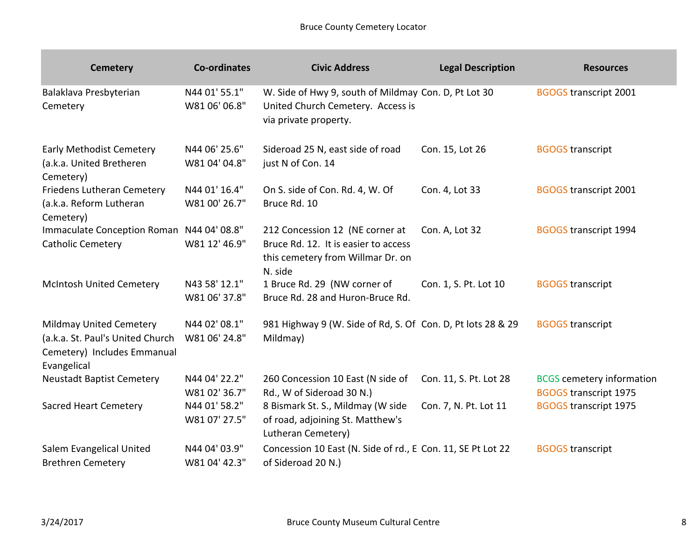| <b>Cemetery</b>                                                                                                  | Co-ordinates                   | <b>Civic Address</b>                                                                                                    | <b>Legal Description</b> | <b>Resources</b>                                                 |
|------------------------------------------------------------------------------------------------------------------|--------------------------------|-------------------------------------------------------------------------------------------------------------------------|--------------------------|------------------------------------------------------------------|
| Balaklava Presbyterian<br>Cemetery                                                                               | N44 01' 55.1"<br>W81 06' 06.8" | W. Side of Hwy 9, south of Mildmay Con. D, Pt Lot 30<br>United Church Cemetery. Access is<br>via private property.      |                          | <b>BGOGS transcript 2001</b>                                     |
| <b>Early Methodist Cemetery</b><br>(a.k.a. United Bretheren<br>Cemetery)                                         | N44 06' 25.6"<br>W81 04' 04.8" | Sideroad 25 N, east side of road<br>just N of Con. 14                                                                   | Con. 15, Lot 26          | <b>BGOGS transcript</b>                                          |
| <b>Friedens Lutheran Cemetery</b><br>(a.k.a. Reform Lutheran<br>Cemetery)                                        | N44 01' 16.4"<br>W81 00' 26.7" | On S. side of Con. Rd. 4, W. Of<br>Bruce Rd. 10                                                                         | Con. 4, Lot 33           | <b>BGOGS transcript 2001</b>                                     |
| Immaculate Conception Roman N44 04' 08.8"<br><b>Catholic Cemetery</b>                                            | W81 12' 46.9"                  | 212 Concession 12 (NE corner at<br>Bruce Rd. 12. It is easier to access<br>this cemetery from Willmar Dr. on<br>N. side | Con. A, Lot 32           | <b>BGOGS transcript 1994</b>                                     |
| <b>McIntosh United Cemetery</b>                                                                                  | N43 58' 12.1"<br>W81 06' 37.8" | 1 Bruce Rd. 29 (NW corner of<br>Bruce Rd. 28 and Huron-Bruce Rd.                                                        | Con. 1, S. Pt. Lot 10    | <b>BGOGS transcript</b>                                          |
| <b>Mildmay United Cemetery</b><br>(a.k.a. St. Paul's United Church<br>Cemetery) Includes Emmanual<br>Evangelical | N44 02' 08.1"<br>W81 06' 24.8" | 981 Highway 9 (W. Side of Rd, S. Of Con. D, Pt lots 28 & 29<br>Mildmay)                                                 |                          | <b>BGOGS transcript</b>                                          |
| <b>Neustadt Baptist Cemetery</b>                                                                                 | N44 04' 22.2"<br>W81 02' 36.7" | 260 Concession 10 East (N side of<br>Rd., W of Sideroad 30 N.)                                                          | Con. 11, S. Pt. Lot 28   | <b>BCGS</b> cemetery information<br><b>BGOGS transcript 1975</b> |
| <b>Sacred Heart Cemetery</b>                                                                                     | N44 01' 58.2"<br>W81 07' 27.5" | 8 Bismark St. S., Mildmay (W side<br>of road, adjoining St. Matthew's<br>Lutheran Cemetery)                             | Con. 7, N. Pt. Lot 11    | <b>BGOGS transcript 1975</b>                                     |
| Salem Evangelical United<br><b>Brethren Cemetery</b>                                                             | N44 04' 03.9"<br>W81 04' 42.3" | Concession 10 East (N. Side of rd., E Con. 11, SE Pt Lot 22<br>of Sideroad 20 N.)                                       |                          | <b>BGOGS transcript</b>                                          |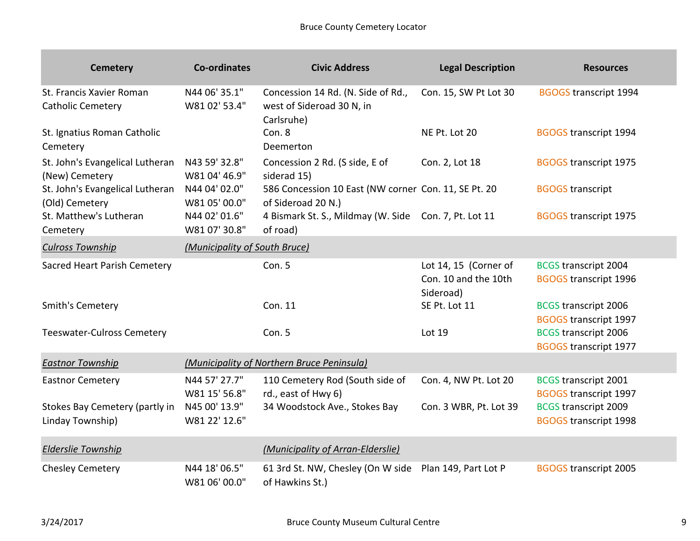| <b>Cemetery</b>                                      | <b>Co-ordinates</b>            | <b>Civic Address</b>                                                          | <b>Legal Description</b>                                   | <b>Resources</b>                                            |
|------------------------------------------------------|--------------------------------|-------------------------------------------------------------------------------|------------------------------------------------------------|-------------------------------------------------------------|
| St. Francis Xavier Roman<br><b>Catholic Cemetery</b> | N44 06' 35.1"<br>W81 02' 53.4" | Concession 14 Rd. (N. Side of Rd.,<br>west of Sideroad 30 N, in<br>Carlsruhe) | Con. 15, SW Pt Lot 30                                      | <b>BGOGS transcript 1994</b>                                |
| St. Ignatius Roman Catholic<br>Cemetery              |                                | Con. 8<br>Deemerton                                                           | NE Pt. Lot 20                                              | <b>BGOGS transcript 1994</b>                                |
| St. John's Evangelical Lutheran<br>(New) Cemetery    | N43 59' 32.8"<br>W81 04' 46.9" | Concession 2 Rd. (S side, E of<br>siderad 15)                                 | Con. 2, Lot 18                                             | <b>BGOGS transcript 1975</b>                                |
| St. John's Evangelical Lutheran<br>(Old) Cemetery    | N44 04' 02.0"<br>W81 05' 00.0" | 586 Concession 10 East (NW corner Con. 11, SE Pt. 20<br>of Sideroad 20 N.)    |                                                            | <b>BGOGS transcript</b>                                     |
| St. Matthew's Lutheran<br>Cemetery                   | N44 02' 01.6"<br>W81 07' 30.8" | 4 Bismark St. S., Mildmay (W. Side Con. 7, Pt. Lot 11<br>of road)             |                                                            | <b>BGOGS transcript 1975</b>                                |
| <b>Culross Township</b>                              | (Municipality of South Bruce)  |                                                                               |                                                            |                                                             |
| Sacred Heart Parish Cemetery                         |                                | Con. 5                                                                        | Lot 14, 15 (Corner of<br>Con. 10 and the 10th<br>Sideroad) | <b>BCGS transcript 2004</b><br><b>BGOGS transcript 1996</b> |
| Smith's Cemetery                                     |                                | Con. 11                                                                       | SE Pt. Lot 11                                              | <b>BCGS transcript 2006</b><br><b>BGOGS transcript 1997</b> |
| <b>Teeswater-Culross Cemetery</b>                    |                                | Con. 5                                                                        | Lot 19                                                     | <b>BCGS transcript 2006</b><br><b>BGOGS transcript 1977</b> |
| <b>Eastnor Township</b>                              |                                | (Municipality of Northern Bruce Peninsula)                                    |                                                            |                                                             |
| <b>Eastnor Cemetery</b>                              | N44 57' 27.7"<br>W81 15' 56.8" | 110 Cemetery Rod (South side of<br>rd., east of Hwy 6)                        | Con. 4, NW Pt. Lot 20                                      | <b>BCGS transcript 2001</b><br><b>BGOGS transcript 1997</b> |
| Stokes Bay Cemetery (partly in<br>Linday Township)   | N45 00' 13.9"<br>W81 22' 12.6" | 34 Woodstock Ave., Stokes Bay                                                 | Con. 3 WBR, Pt. Lot 39                                     | <b>BCGS transcript 2009</b><br><b>BGOGS transcript 1998</b> |
| <b>Elderslie Township</b>                            |                                | (Municipality of Arran-Elderslie)                                             |                                                            |                                                             |
| <b>Chesley Cemetery</b>                              | N44 18' 06.5"<br>W81 06' 00.0" | 61 3rd St. NW, Chesley (On W side<br>of Hawkins St.)                          | Plan 149, Part Lot P                                       | <b>BGOGS transcript 2005</b>                                |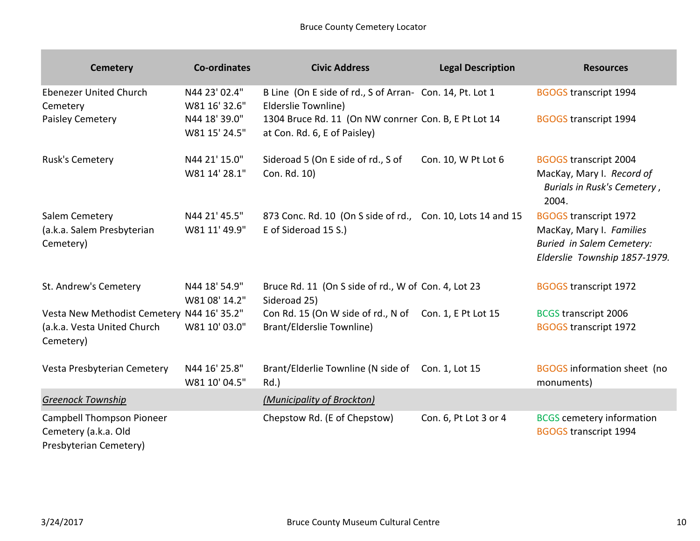| <b>Cemetery</b>                                                                        | <b>Co-ordinates</b>            | <b>Civic Address</b>                                                                       | <b>Legal Description</b> | <b>Resources</b>                                                                                                              |
|----------------------------------------------------------------------------------------|--------------------------------|--------------------------------------------------------------------------------------------|--------------------------|-------------------------------------------------------------------------------------------------------------------------------|
| <b>Ebenezer United Church</b><br>Cemetery                                              | N44 23' 02.4"<br>W81 16' 32.6" | B Line (On E side of rd., S of Arran- Con. 14, Pt. Lot 1<br>Elderslie Townline)            |                          | <b>BGOGS transcript 1994</b>                                                                                                  |
| Paisley Cemetery                                                                       | N44 18' 39.0"<br>W81 15' 24.5" | 1304 Bruce Rd. 11 (On NW conrner Con. B, E Pt Lot 14<br>at Con. Rd. 6, E of Paisley)       |                          | <b>BGOGS transcript 1994</b>                                                                                                  |
| Rusk's Cemetery                                                                        | N44 21' 15.0"<br>W81 14' 28.1" | Sideroad 5 (On E side of rd., S of<br>Con. Rd. 10)                                         | Con. 10, W Pt Lot 6      | <b>BGOGS transcript 2004</b><br>MacKay, Mary I. Record of<br>Burials in Rusk's Cemetery,<br>2004.                             |
| Salem Cemetery<br>(a.k.a. Salem Presbyterian<br>Cemetery)                              | N44 21' 45.5"<br>W81 11' 49.9" | 873 Conc. Rd. 10 (On S side of rd., Con. 10, Lots 14 and 15<br>E of Sideroad 15 S.)        |                          | <b>BGOGS transcript 1972</b><br>MacKay, Mary I. Families<br><b>Buried in Salem Cemetery:</b><br>Elderslie Township 1857-1979. |
| St. Andrew's Cemetery                                                                  | N44 18' 54.9"<br>W81 08' 14.2" | Bruce Rd. 11 (On S side of rd., W of Con. 4, Lot 23<br>Sideroad 25)                        |                          | <b>BGOGS transcript 1972</b>                                                                                                  |
| Vesta New Methodist Cemetery N44 16' 35.2"<br>(a.k.a. Vesta United Church<br>Cemetery) | W81 10' 03.0"                  | Con Rd. 15 (On W side of rd., N of Con. 1, E Pt Lot 15<br><b>Brant/Elderslie Townline)</b> |                          | <b>BCGS transcript 2006</b><br><b>BGOGS transcript 1972</b>                                                                   |
| Vesta Presbyterian Cemetery                                                            | N44 16' 25.8"<br>W81 10' 04.5" | Brant/Elderlie Townline (N side of Con. 1, Lot 15<br>$Rd.$ )                               |                          | <b>BGOGS</b> information sheet (no<br>monuments)                                                                              |
| <b>Greenock Township</b>                                                               |                                | (Municipality of Brockton)                                                                 |                          |                                                                                                                               |
| <b>Campbell Thompson Pioneer</b><br>Cemetery (a.k.a. Old<br>Presbyterian Cemetery)     |                                | Chepstow Rd. (E of Chepstow)                                                               | Con. 6, Pt Lot 3 or 4    | <b>BCGS</b> cemetery information<br><b>BGOGS transcript 1994</b>                                                              |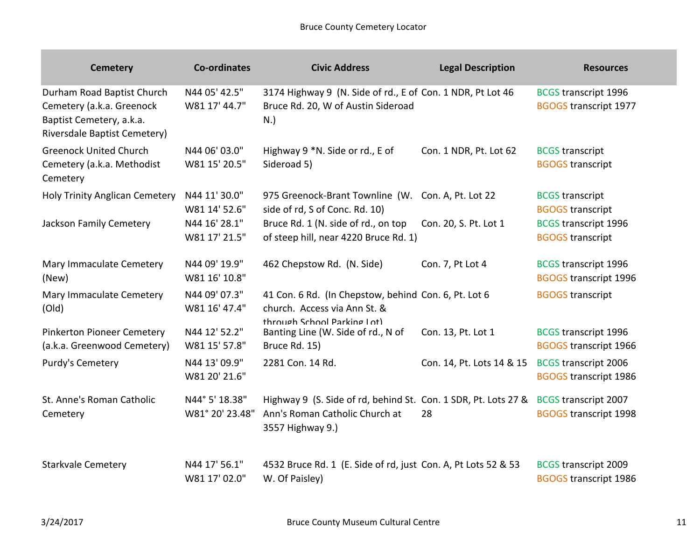| <b>Cemetery</b>                                                                                                     | <b>Co-ordinates</b>               | <b>Civic Address</b>                                                                                                 | <b>Legal Description</b>  | <b>Resources</b>                                            |
|---------------------------------------------------------------------------------------------------------------------|-----------------------------------|----------------------------------------------------------------------------------------------------------------------|---------------------------|-------------------------------------------------------------|
| Durham Road Baptist Church<br>Cemetery (a.k.a. Greenock<br>Baptist Cemetery, a.k.a.<br>Riversdale Baptist Cemetery) | N44 05' 42.5"<br>W81 17' 44.7"    | 3174 Highway 9 (N. Side of rd., E of Con. 1 NDR, Pt Lot 46<br>Bruce Rd. 20, W of Austin Sideroad<br>N.               |                           | <b>BCGS transcript 1996</b><br><b>BGOGS transcript 1977</b> |
| <b>Greenock United Church</b><br>Cemetery (a.k.a. Methodist<br>Cemetery                                             | N44 06' 03.0"<br>W81 15' 20.5"    | Highway 9 *N. Side or rd., E of<br>Sideroad 5)                                                                       | Con. 1 NDR, Pt. Lot 62    | <b>BCGS</b> transcript<br><b>BGOGS transcript</b>           |
| <b>Holy Trinity Anglican Cemetery</b>                                                                               | N44 11' 30.0"<br>W81 14' 52.6"    | 975 Greenock-Brant Townline (W. Con. A, Pt. Lot 22<br>side of rd, S of Conc. Rd. 10)                                 |                           | <b>BCGS</b> transcript<br><b>BGOGS transcript</b>           |
| Jackson Family Cemetery                                                                                             | N44 16' 28.1"<br>W81 17' 21.5"    | Bruce Rd. 1 (N. side of rd., on top<br>of steep hill, near 4220 Bruce Rd. 1)                                         | Con. 20, S. Pt. Lot 1     | <b>BCGS transcript 1996</b><br><b>BGOGS transcript</b>      |
| Mary Immaculate Cemetery<br>(New)                                                                                   | N44 09' 19.9"<br>W81 16' 10.8"    | 462 Chepstow Rd. (N. Side)                                                                                           | Con. 7, Pt Lot 4          | <b>BCGS transcript 1996</b><br><b>BGOGS transcript 1996</b> |
| Mary Immaculate Cemetery<br>(Old)                                                                                   | N44 09' 07.3"<br>W81 16' 47.4"    | 41 Con. 6 Rd. (In Chepstow, behind Con. 6, Pt. Lot 6<br>church. Access via Ann St. &                                 |                           | <b>BGOGS transcript</b>                                     |
| <b>Pinkerton Pioneer Cemetery</b><br>(a.k.a. Greenwood Cemetery)                                                    | N44 12' 52.2"<br>W81 15' 57.8"    | through School Parking Lot)<br>Banting Line (W. Side of rd., N of<br>Bruce Rd. 15)                                   | Con. 13, Pt. Lot 1        | <b>BCGS transcript 1996</b><br><b>BGOGS transcript 1966</b> |
| Purdy's Cemetery                                                                                                    | N44 13' 09.9"<br>W81 20' 21.6"    | 2281 Con. 14 Rd.                                                                                                     | Con. 14, Pt. Lots 14 & 15 | <b>BCGS transcript 2006</b><br><b>BGOGS transcript 1986</b> |
| St. Anne's Roman Catholic<br>Cemetery                                                                               | N44° 5' 18.38"<br>W81° 20' 23.48" | Highway 9 (S. Side of rd, behind St. Con. 1 SDR, Pt. Lots 27 &<br>Ann's Roman Catholic Church at<br>3557 Highway 9.) | 28                        | <b>BCGS transcript 2007</b><br><b>BGOGS transcript 1998</b> |
| <b>Starkvale Cemetery</b>                                                                                           | N44 17' 56.1"<br>W81 17' 02.0"    | 4532 Bruce Rd. 1 (E. Side of rd, just Con. A, Pt Lots 52 & 53<br>W. Of Paisley)                                      |                           | <b>BCGS transcript 2009</b><br><b>BGOGS transcript 1986</b> |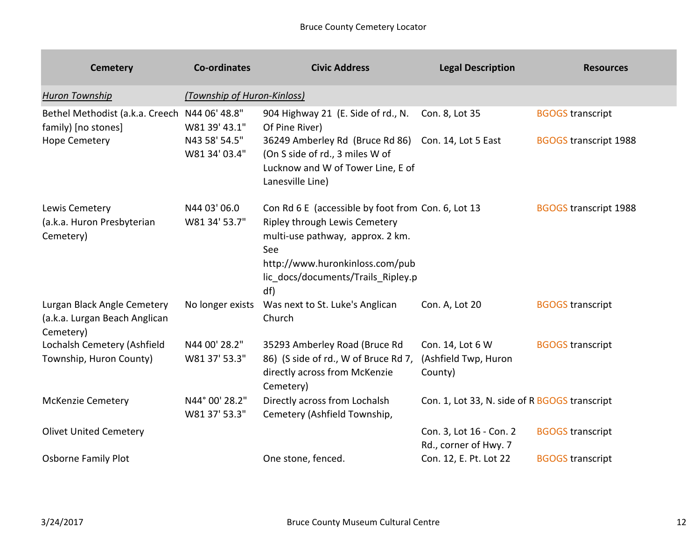| <b>Cemetery</b>                                                                              | <b>Co-ordinates</b>             | <b>Civic Address</b>                                                                                                                                                                                           | <b>Legal Description</b>                            | <b>Resources</b>                                        |
|----------------------------------------------------------------------------------------------|---------------------------------|----------------------------------------------------------------------------------------------------------------------------------------------------------------------------------------------------------------|-----------------------------------------------------|---------------------------------------------------------|
| <b>Huron Township</b>                                                                        | (Township of Huron-Kinloss)     |                                                                                                                                                                                                                |                                                     |                                                         |
| Bethel Methodist (a.k.a. Creech N44 06' 48.8"<br>family) [no stones]<br><b>Hope Cemetery</b> | W81 39' 43.1"<br>N43 58' 54.5"  | 904 Highway 21 (E. Side of rd., N.<br>Of Pine River)<br>36249 Amberley Rd (Bruce Rd 86)                                                                                                                        | Con. 8, Lot 35<br>Con. 14, Lot 5 East               | <b>BGOGS transcript</b><br><b>BGOGS transcript 1988</b> |
|                                                                                              | W81 34' 03.4"                   | (On S side of rd., 3 miles W of<br>Lucknow and W of Tower Line, E of<br>Lanesville Line)                                                                                                                       |                                                     |                                                         |
| Lewis Cemetery<br>(a.k.a. Huron Presbyterian<br>Cemetery)                                    | N44 03' 06.0<br>W81 34' 53.7"   | Con Rd 6 E (accessible by foot from Con. 6, Lot 13<br>Ripley through Lewis Cemetery<br>multi-use pathway, approx. 2 km.<br>See<br>http://www.huronkinloss.com/pub<br>lic docs/documents/Trails Ripley.p<br>df) |                                                     | <b>BGOGS transcript 1988</b>                            |
| Lurgan Black Angle Cemetery<br>(a.k.a. Lurgan Beach Anglican<br>Cemetery)                    | No longer exists                | Was next to St. Luke's Anglican<br>Church                                                                                                                                                                      | Con. A, Lot 20                                      | <b>BGOGS transcript</b>                                 |
| Lochalsh Cemetery (Ashfield<br>Township, Huron County)                                       | N44 00' 28.2"<br>W81 37' 53.3"  | 35293 Amberley Road (Bruce Rd<br>86) (S side of rd., W of Bruce Rd 7,<br>directly across from McKenzie<br>Cemetery)                                                                                            | Con. 14, Lot 6 W<br>(Ashfield Twp, Huron<br>County) | <b>BGOGS transcript</b>                                 |
| <b>McKenzie Cemetery</b>                                                                     | N44° 00' 28.2"<br>W81 37' 53.3" | Directly across from Lochalsh<br>Cemetery (Ashfield Township,                                                                                                                                                  | Con. 1, Lot 33, N. side of R BGOGS transcript       |                                                         |
| <b>Olivet United Cemetery</b>                                                                |                                 |                                                                                                                                                                                                                | Con. 3, Lot 16 - Con. 2<br>Rd., corner of Hwy. 7    | <b>BGOGS transcript</b>                                 |
| <b>Osborne Family Plot</b>                                                                   |                                 | One stone, fenced.                                                                                                                                                                                             | Con. 12, E. Pt. Lot 22                              | <b>BGOGS transcript</b>                                 |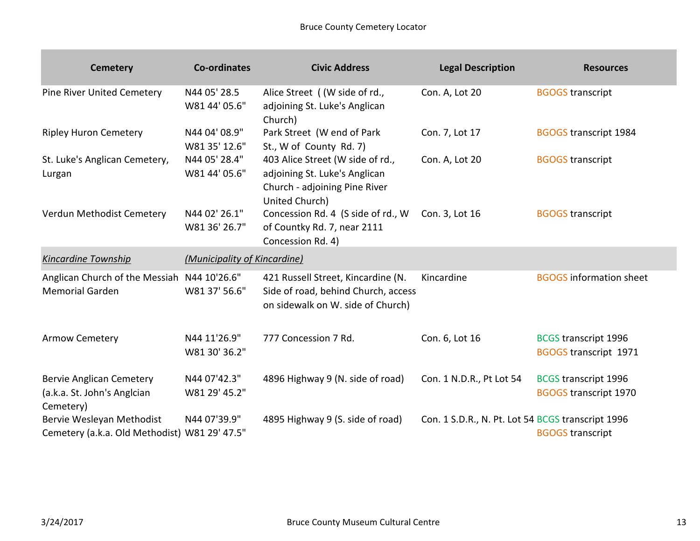| <b>Cemetery</b>                                                             | <b>Co-ordinates</b>            | <b>Civic Address</b>                                                                                                 | <b>Legal Description</b> | <b>Resources</b>                                            |
|-----------------------------------------------------------------------------|--------------------------------|----------------------------------------------------------------------------------------------------------------------|--------------------------|-------------------------------------------------------------|
| <b>Pine River United Cemetery</b>                                           | N44 05' 28.5<br>W81 44' 05.6"  | Alice Street ( (W side of rd.,<br>adjoining St. Luke's Anglican<br>Church)                                           | Con. A, Lot 20           | <b>BGOGS transcript</b>                                     |
| <b>Ripley Huron Cemetery</b>                                                | N44 04' 08.9"<br>W81 35' 12.6" | Park Street (W end of Park<br>St., W of County Rd. 7)                                                                | Con. 7, Lot 17           | <b>BGOGS transcript 1984</b>                                |
| St. Luke's Anglican Cemetery,<br>Lurgan                                     | N44 05' 28.4"<br>W81 44' 05.6" | 403 Alice Street (W side of rd.,<br>adjoining St. Luke's Anglican<br>Church - adjoining Pine River<br>United Church) | Con. A, Lot 20           | <b>BGOGS transcript</b>                                     |
| Verdun Methodist Cemetery                                                   | N44 02' 26.1"<br>W81 36' 26.7" | Concession Rd. 4 (S side of rd., W<br>of Countky Rd. 7, near 2111<br>Concession Rd. 4)                               | Con. 3, Lot 16           | <b>BGOGS transcript</b>                                     |
|                                                                             |                                |                                                                                                                      |                          |                                                             |
| <b>Kincardine Township</b>                                                  | (Municipality of Kincardine)   |                                                                                                                      |                          |                                                             |
| Anglican Church of the Messiah N44 10'26.6"<br><b>Memorial Garden</b>       | W81 37' 56.6"                  | 421 Russell Street, Kincardine (N.<br>Side of road, behind Church, access<br>on sidewalk on W. side of Church)       | Kincardine               | <b>BGOGS</b> information sheet                              |
| Armow Cemetery                                                              | N44 11'26.9"<br>W81 30' 36.2"  | 777 Concession 7 Rd.                                                                                                 | Con. 6, Lot 16           | <b>BCGS transcript 1996</b><br><b>BGOGS transcript 1971</b> |
| <b>Bervie Anglican Cemetery</b><br>(a.k.a. St. John's Anglcian<br>Cemetery) | N44 07'42.3"<br>W81 29' 45.2"  | 4896 Highway 9 (N. side of road)                                                                                     | Con. 1 N.D.R., Pt Lot 54 | <b>BCGS transcript 1996</b><br><b>BGOGS transcript 1970</b> |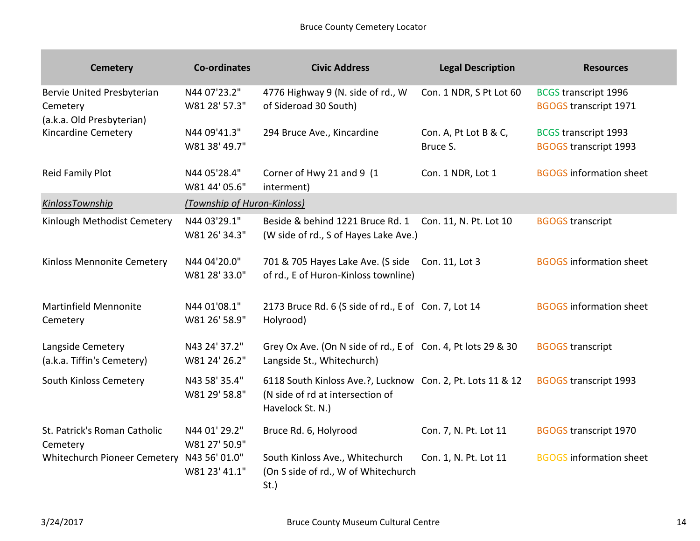| <b>Cemetery</b>                                                     | <b>Co-ordinates</b>            | <b>Civic Address</b>                                                                                               | <b>Legal Description</b>          | <b>Resources</b>                                            |
|---------------------------------------------------------------------|--------------------------------|--------------------------------------------------------------------------------------------------------------------|-----------------------------------|-------------------------------------------------------------|
| Bervie United Presbyterian<br>Cemetery<br>(a.k.a. Old Presbyterian) | N44 07'23.2"<br>W81 28' 57.3"  | 4776 Highway 9 (N. side of rd., W<br>of Sideroad 30 South)                                                         | Con. 1 NDR, S Pt Lot 60           | <b>BCGS transcript 1996</b><br><b>BGOGS transcript 1971</b> |
| Kincardine Cemetery                                                 | N44 09'41.3"<br>W81 38' 49.7"  | 294 Bruce Ave., Kincardine                                                                                         | Con. A, Pt Lot B & C,<br>Bruce S. | <b>BCGS transcript 1993</b><br><b>BGOGS transcript 1993</b> |
| Reid Family Plot                                                    | N44 05'28.4"<br>W81 44' 05.6"  | Corner of Hwy 21 and 9 (1<br>interment)                                                                            | Con. 1 NDR, Lot 1                 | <b>BGOGS</b> information sheet                              |
| KinlossTownship                                                     | (Township of Huron-Kinloss)    |                                                                                                                    |                                   |                                                             |
| Kinlough Methodist Cemetery                                         | N44 03'29.1"<br>W81 26' 34.3"  | Beside & behind 1221 Bruce Rd. 1<br>(W side of rd., S of Hayes Lake Ave.)                                          | Con. 11, N. Pt. Lot 10            | <b>BGOGS transcript</b>                                     |
| Kinloss Mennonite Cemetery                                          | N44 04'20.0"<br>W81 28' 33.0"  | 701 & 705 Hayes Lake Ave. (S side<br>of rd., E of Huron-Kinloss townline)                                          | Con. 11, Lot 3                    | <b>BGOGS</b> information sheet                              |
| <b>Martinfield Mennonite</b><br>Cemetery                            | N44 01'08.1"<br>W81 26' 58.9"  | 2173 Bruce Rd. 6 (S side of rd., E of Con. 7, Lot 14<br>Holyrood)                                                  |                                   | <b>BGOGS</b> information sheet                              |
| Langside Cemetery<br>(a.k.a. Tiffin's Cemetery)                     | N43 24' 37.2"<br>W81 24' 26.2" | Grey Ox Ave. (On N side of rd., E of Con. 4, Pt lots 29 & 30<br>Langside St., Whitechurch)                         |                                   | <b>BGOGS transcript</b>                                     |
| South Kinloss Cemetery                                              | N43 58' 35.4"<br>W81 29' 58.8" | 6118 South Kinloss Ave.?, Lucknow Con. 2, Pt. Lots 11 & 12<br>(N side of rd at intersection of<br>Havelock St. N.) |                                   | <b>BGOGS transcript 1993</b>                                |
| St. Patrick's Roman Catholic<br>Cemetery                            | N44 01' 29.2"<br>W81 27' 50.9" | Bruce Rd. 6, Holyrood                                                                                              | Con. 7, N. Pt. Lot 11             | <b>BGOGS transcript 1970</b>                                |
| Whitechurch Pioneer Cemetery                                        | N43 56' 01.0"<br>W81 23' 41.1" | South Kinloss Ave., Whitechurch<br>(On S side of rd., W of Whitechurch<br>$St.$ )                                  | Con. 1, N. Pt. Lot 11             | <b>BGOGS</b> information sheet                              |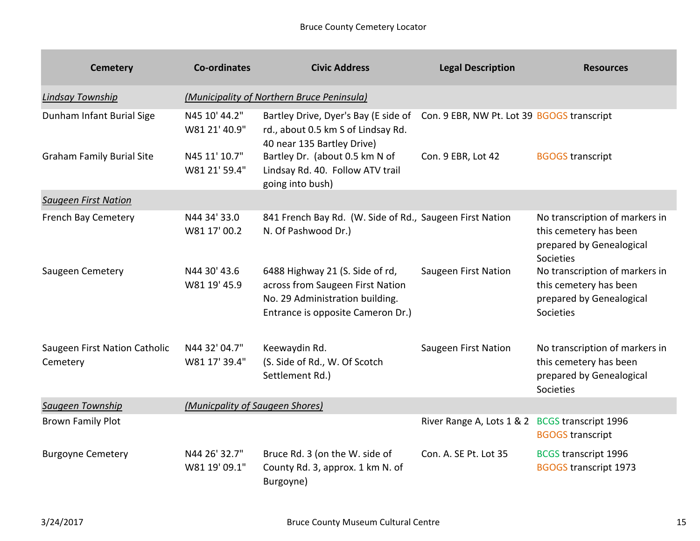| <b>Cemetery</b>                           | <b>Co-ordinates</b>             | <b>Civic Address</b>                                                                                                                        | <b>Legal Description</b>                   | <b>Resources</b>                                                                                         |
|-------------------------------------------|---------------------------------|---------------------------------------------------------------------------------------------------------------------------------------------|--------------------------------------------|----------------------------------------------------------------------------------------------------------|
| <b>Lindsay Township</b>                   |                                 | (Municipality of Northern Bruce Peninsula)                                                                                                  |                                            |                                                                                                          |
| Dunham Infant Burial Sige                 | N45 10' 44.2"<br>W81 21' 40.9"  | Bartley Drive, Dyer's Bay (E side of<br>rd., about 0.5 km S of Lindsay Rd.<br>40 near 135 Bartley Drive)                                    | Con. 9 EBR, NW Pt. Lot 39 BGOGS transcript |                                                                                                          |
| <b>Graham Family Burial Site</b>          | N45 11' 10.7"<br>W81 21' 59.4"  | Bartley Dr. (about 0.5 km N of<br>Lindsay Rd. 40. Follow ATV trail<br>going into bush)                                                      | Con. 9 EBR, Lot 42                         | <b>BGOGS transcript</b>                                                                                  |
| <b>Saugeen First Nation</b>               |                                 |                                                                                                                                             |                                            |                                                                                                          |
| French Bay Cemetery                       | N44 34' 33.0<br>W81 17' 00.2    | 841 French Bay Rd. (W. Side of Rd., Saugeen First Nation<br>N. Of Pashwood Dr.)                                                             |                                            | No transcription of markers in<br>this cemetery has been<br>prepared by Genealogical<br><b>Societies</b> |
| Saugeen Cemetery                          | N44 30' 43.6<br>W81 19' 45.9    | 6488 Highway 21 (S. Side of rd,<br>across from Saugeen First Nation<br>No. 29 Administration building.<br>Entrance is opposite Cameron Dr.) | Saugeen First Nation                       | No transcription of markers in<br>this cemetery has been<br>prepared by Genealogical<br>Societies        |
| Saugeen First Nation Catholic<br>Cemetery | N44 32' 04.7"<br>W81 17' 39.4"  | Keewaydin Rd.<br>(S. Side of Rd., W. Of Scotch<br>Settlement Rd.)                                                                           | Saugeen First Nation                       | No transcription of markers in<br>this cemetery has been<br>prepared by Genealogical<br>Societies        |
| Saugeen Township                          | (Municpality of Saugeen Shores) |                                                                                                                                             |                                            |                                                                                                          |
| <b>Brown Family Plot</b>                  |                                 |                                                                                                                                             | River Range A, Lots 1 & 2                  | <b>BCGS transcript 1996</b><br><b>BGOGS transcript</b>                                                   |
| <b>Burgoyne Cemetery</b>                  | N44 26' 32.7"<br>W81 19' 09.1"  | Bruce Rd. 3 (on the W. side of<br>County Rd. 3, approx. 1 km N. of<br>Burgoyne)                                                             | Con. A. SE Pt. Lot 35                      | <b>BCGS transcript 1996</b><br><b>BGOGS transcript 1973</b>                                              |